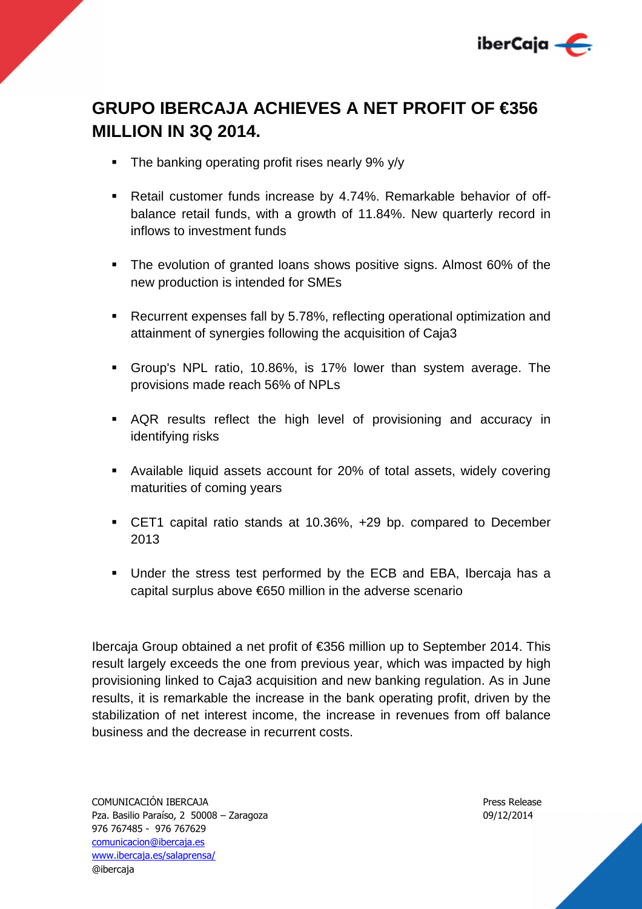

# **GRUPO IBERCAJA ACHIEVES A NET PROFIT OF €356 MILLION IN 3Q 2014.**

- The banking operating profit rises nearly 9% y/y
- Retail customer funds increase by 4.74%. Remarkable behavior of offbalance retail funds, with a growth of 11.84%. New quarterly record in inflows to investment funds
- The evolution of granted loans shows positive signs. Almost 60% of the new production is intended for SMEs
- Recurrent expenses fall by 5.78%, reflecting operational optimization and attainment of synergies following the acquisition of Caja3
- Group's NPL ratio, 10.86%, is 17% lower than system average. The provisions made reach 56% of NPLs
- AQR results reflect the high level of provisioning and accuracy in identifying risks
- Available liquid assets account for 20% of total assets, widely covering maturities of coming years
- CET1 capital ratio stands at 10.36%, +29 bp. compared to December 2013
- Under the stress test performed by the ECB and EBA, Ibercaja has a capital surplus above €650 million in the adverse scenario

Ibercaja Group obtained a net profit of €356 million up to September 2014. This result largely exceeds the one from previous year, which was impacted by high provisioning linked to Caja3 acquisition and new banking regulation. As in June results, it is remarkable the increase in the bank operating profit, driven by the stabilization of net interest income, the increase in revenues from off balance business and the decrease in recurrent costs.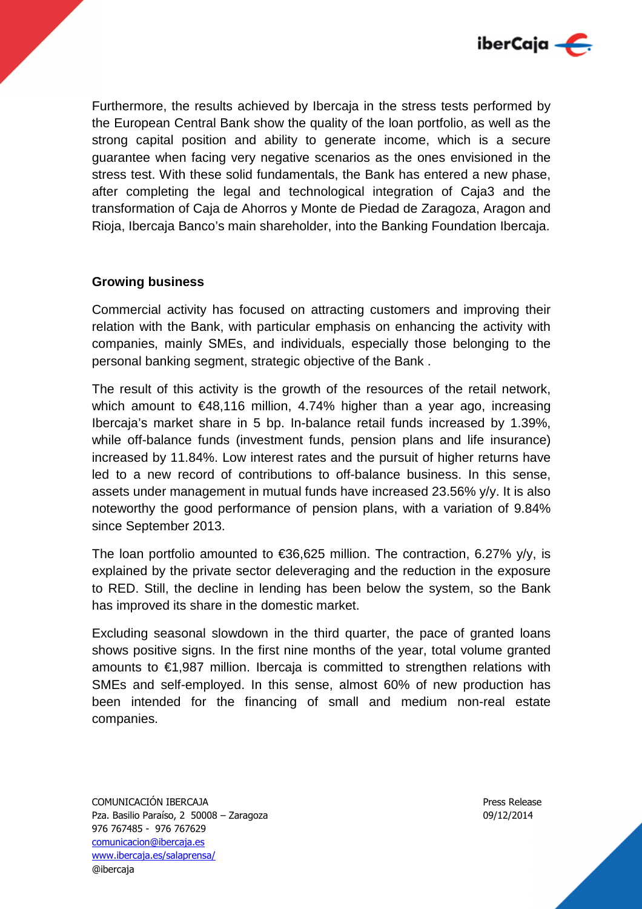

Furthermore, the results achieved by Ibercaja in the stress tests performed by the European Central Bank show the quality of the loan portfolio, as well as the strong capital position and ability to generate income, which is a secure guarantee when facing very negative scenarios as the ones envisioned in the stress test. With these solid fundamentals, the Bank has entered a new phase, after completing the legal and technological integration of Caja3 and the transformation of Caja de Ahorros y Monte de Piedad de Zaragoza, Aragon and Rioja, Ibercaja Banco's main shareholder, into the Banking Foundation Ibercaja.

# **Growing business**

Commercial activity has focused on attracting customers and improving their relation with the Bank, with particular emphasis on enhancing the activity with companies, mainly SMEs, and individuals, especially those belonging to the personal banking segment, strategic objective of the Bank .

The result of this activity is the growth of the resources of the retail network, which amount to €48,116 million, 4.74% higher than a year ago, increasing Ibercaja's market share in 5 bp. In-balance retail funds increased by 1.39%, while off-balance funds (investment funds, pension plans and life insurance) increased by 11.84%. Low interest rates and the pursuit of higher returns have led to a new record of contributions to off-balance business. In this sense, assets under management in mutual funds have increased 23.56% y/y. It is also noteworthy the good performance of pension plans, with a variation of 9.84% since September 2013.

The loan portfolio amounted to  $\epsilon$ 36,625 million. The contraction, 6.27% y/y, is explained by the private sector deleveraging and the reduction in the exposure to RED. Still, the decline in lending has been below the system, so the Bank has improved its share in the domestic market.

Excluding seasonal slowdown in the third quarter, the pace of granted loans shows positive signs. In the first nine months of the year, total volume granted amounts to €1,987 million. Ibercaja is committed to strengthen relations with SMEs and self-employed. In this sense, almost 60% of new production has been intended for the financing of small and medium non-real estate companies.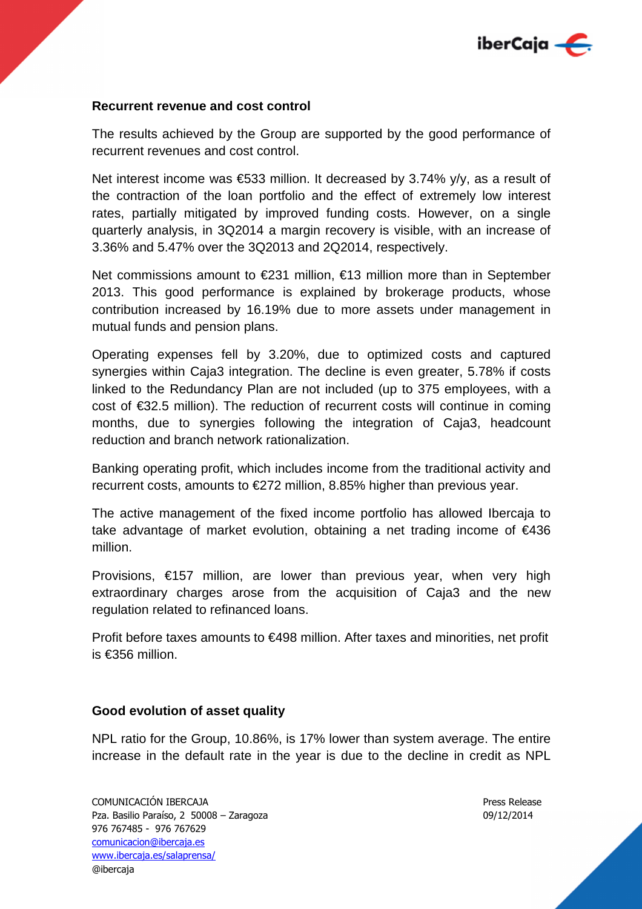

## **Recurrent revenue and cost control**

The results achieved by the Group are supported by the good performance of recurrent revenues and cost control.

Net interest income was €533 million. It decreased by 3.74% y/y, as a result of the contraction of the loan portfolio and the effect of extremely low interest rates, partially mitigated by improved funding costs. However, on a single quarterly analysis, in 3Q2014 a margin recovery is visible, with an increase of 3.36% and 5.47% over the 3Q2013 and 2Q2014, respectively.

Net commissions amount to €231 million, €13 million more than in September 2013. This good performance is explained by brokerage products, whose contribution increased by 16.19% due to more assets under management in mutual funds and pension plans.

Operating expenses fell by 3.20%, due to optimized costs and captured synergies within Caja3 integration. The decline is even greater, 5.78% if costs linked to the Redundancy Plan are not included (up to 375 employees, with a cost of €32.5 million). The reduction of recurrent costs will continue in coming months, due to synergies following the integration of Caja3, headcount reduction and branch network rationalization.

Banking operating profit, which includes income from the traditional activity and recurrent costs, amounts to €272 million, 8.85% higher than previous year.

The active management of the fixed income portfolio has allowed Ibercaja to take advantage of market evolution, obtaining a net trading income of €436 million.

Provisions, €157 million, are lower than previous year, when very high extraordinary charges arose from the acquisition of Caja3 and the new regulation related to refinanced loans.

Profit before taxes amounts to €498 million. After taxes and minorities, net profit is €356 million.

### **Good evolution of asset quality**

NPL ratio for the Group, 10.86%, is 17% lower than system average. The entire increase in the default rate in the year is due to the decline in credit as NPL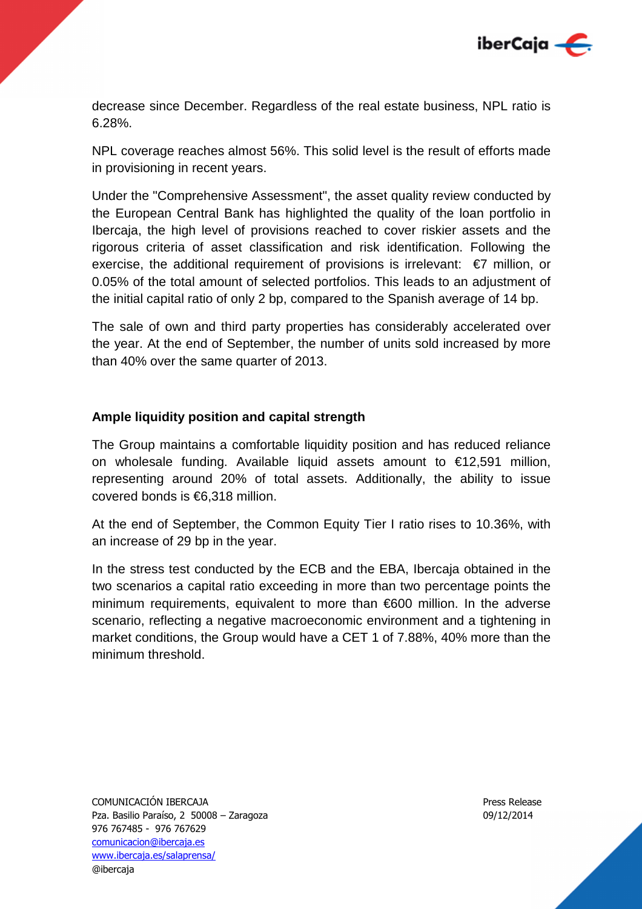

decrease since December. Regardless of the real estate business, NPL ratio is 6.28%.

NPL coverage reaches almost 56%. This solid level is the result of efforts made in provisioning in recent years.

Under the "Comprehensive Assessment", the asset quality review conducted by the European Central Bank has highlighted the quality of the loan portfolio in Ibercaja, the high level of provisions reached to cover riskier assets and the rigorous criteria of asset classification and risk identification. Following the exercise, the additional requirement of provisions is irrelevant:  $\epsilon$ 7 million, or 0.05% of the total amount of selected portfolios. This leads to an adjustment of the initial capital ratio of only 2 bp, compared to the Spanish average of 14 bp.

The sale of own and third party properties has considerably accelerated over the year. At the end of September, the number of units sold increased by more than 40% over the same quarter of 2013.

# **Ample liquidity position and capital strength**

The Group maintains a comfortable liquidity position and has reduced reliance on wholesale funding. Available liquid assets amount to €12,591 million, representing around 20% of total assets. Additionally, the ability to issue covered bonds is €6,318 million.

At the end of September, the Common Equity Tier I ratio rises to 10.36%, with an increase of 29 bp in the year.

In the stress test conducted by the ECB and the EBA, Ibercaja obtained in the two scenarios a capital ratio exceeding in more than two percentage points the minimum requirements, equivalent to more than €600 million. In the adverse scenario, reflecting a negative macroeconomic environment and a tightening in market conditions, the Group would have a CET 1 of 7.88%, 40% more than the minimum threshold.